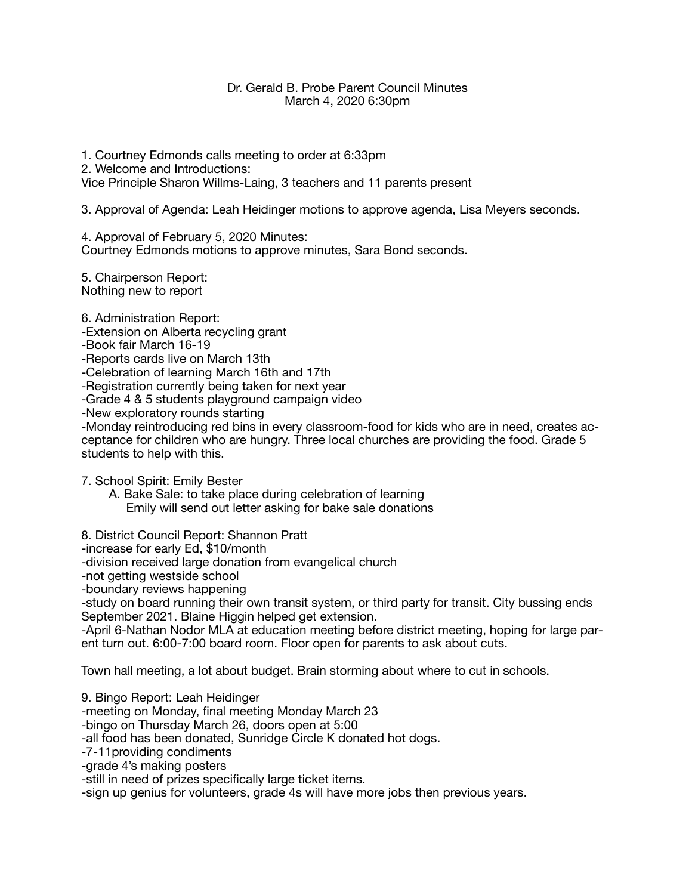## Dr. Gerald B. Probe Parent Council Minutes March 4, 2020 6:30pm

1. Courtney Edmonds calls meeting to order at 6:33pm 2. Welcome and Introductions: Vice Principle Sharon Willms-Laing, 3 teachers and 11 parents present

3. Approval of Agenda: Leah Heidinger motions to approve agenda, Lisa Meyers seconds.

4. Approval of February 5, 2020 Minutes:

Courtney Edmonds motions to approve minutes, Sara Bond seconds.

5. Chairperson Report: Nothing new to report

6. Administration Report:

-Extension on Alberta recycling grant

-Book fair March 16-19

-Reports cards live on March 13th

-Celebration of learning March 16th and 17th

-Registration currently being taken for next year

-Grade 4 & 5 students playground campaign video

-New exploratory rounds starting

-Monday reintroducing red bins in every classroom-food for kids who are in need, creates acceptance for children who are hungry. Three local churches are providing the food. Grade 5 students to help with this.

7. School Spirit: Emily Bester

 A. Bake Sale: to take place during celebration of learning Emily will send out letter asking for bake sale donations

8. District Council Report: Shannon Pratt

-increase for early Ed, \$10/month

-division received large donation from evangelical church

-not getting westside school

-boundary reviews happening

-study on board running their own transit system, or third party for transit. City bussing ends September 2021. Blaine Higgin helped get extension.

-April 6-Nathan Nodor MLA at education meeting before district meeting, hoping for large parent turn out. 6:00-7:00 board room. Floor open for parents to ask about cuts.

Town hall meeting, a lot about budget. Brain storming about where to cut in schools.

9. Bingo Report: Leah Heidinger

-meeting on Monday, final meeting Monday March 23

-bingo on Thursday March 26, doors open at 5:00

-all food has been donated, Sunridge Circle K donated hot dogs.

-7-11providing condiments

-grade 4's making posters

-still in need of prizes specifically large ticket items.

-sign up genius for volunteers, grade 4s will have more jobs then previous years.